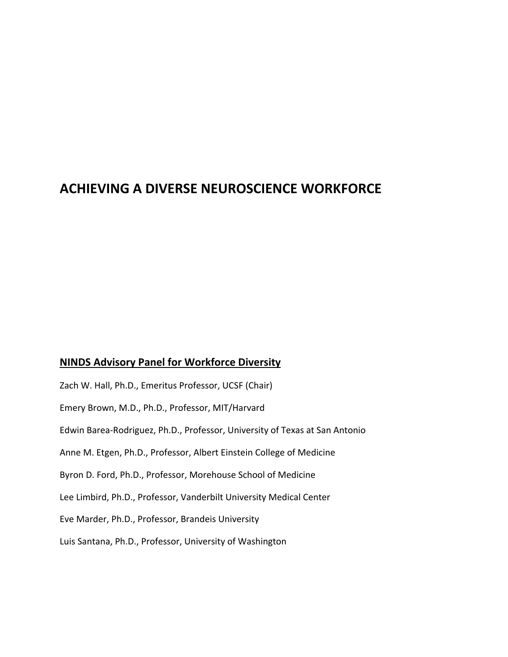# **ACHIEVING A DIVERSE NEUROSCIENCE WORKFORCE**

# **NINDS Advisory Panel for Workforce Diversity**

Zach W. Hall, Ph.D., Emeritus Professor, UCSF (Chair) Emery Brown, M.D., Ph.D., Professor, MIT/Harvard Edwin Barea‐Rodriguez, Ph.D., Professor, University of Texas at San Antonio Anne M. Etgen, Ph.D., Professor, Albert Einstein College of Medicine Byron D. Ford, Ph.D., Professor, Morehouse School of Medicine Lee Limbird, Ph.D., Professor, Vanderbilt University Medical Center Eve Marder, Ph.D., Professor, Brandeis University Luis Santana, Ph.D., Professor, University of Washington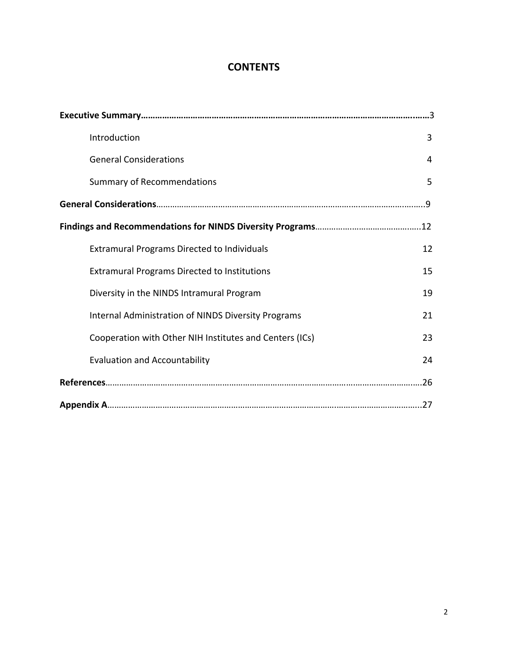# **CONTENTS**

| Introduction                                               | 3  |  |  |  |  |
|------------------------------------------------------------|----|--|--|--|--|
| <b>General Considerations</b>                              | 4  |  |  |  |  |
| <b>Summary of Recommendations</b>                          | 5  |  |  |  |  |
|                                                            |    |  |  |  |  |
|                                                            |    |  |  |  |  |
| <b>Extramural Programs Directed to Individuals</b>         | 12 |  |  |  |  |
| <b>Extramural Programs Directed to Institutions</b>        | 15 |  |  |  |  |
| Diversity in the NINDS Intramural Program                  | 19 |  |  |  |  |
| <b>Internal Administration of NINDS Diversity Programs</b> | 21 |  |  |  |  |
| Cooperation with Other NIH Institutes and Centers (ICs)    | 23 |  |  |  |  |
| <b>Evaluation and Accountability</b>                       | 24 |  |  |  |  |
|                                                            |    |  |  |  |  |
|                                                            |    |  |  |  |  |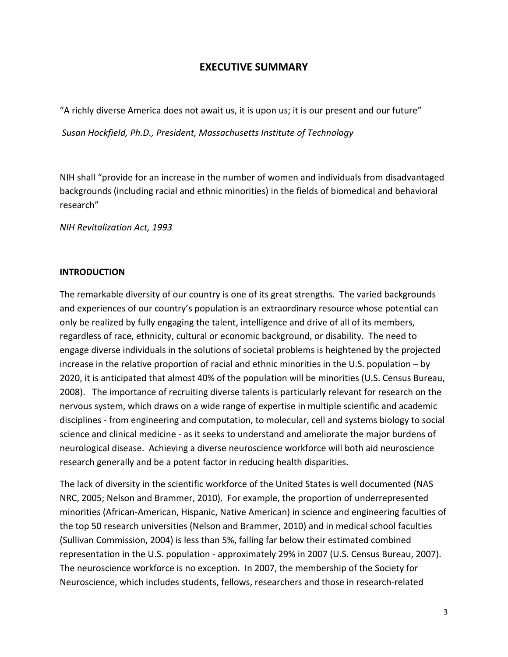# **EXECUTIVE SUMMARY**

"A richly diverse America does not await us, it is upon us; it is our present and our future"

 *Susan Hockfield, Ph.D., President, Massachusetts Institute of Technology*

 NIH shall "provide for an increase in the number of women and individuals from disadvantaged backgrounds (including racial and ethnic minorities) in the fields of biomedical and behavioral research"

 *NIH Revitalization Act, 1993*

#### **INTRODUCTION**

 The remarkable diversity of our country is one of its great strengths. The varied backgrounds and experiences of our country's population is an extraordinary resource whose potential can only be realized by fully engaging the talent, intelligence and drive of all of its members, regardless of race, ethnicity, cultural or economic background, or disability. The need to engage diverse individuals in the solutions of societal problems is heightened by the projected increase in the relative proportion of racial and ethnic minorities in the U.S. population – by 2020, it is anticipated that almost 40% of the population will be minorities (U.S. Census Bureau, 2008). The importance of recruiting diverse talents is particularly relevant for research on the nervous system, which draws on a wide range of expertise in multiple scientific and academic disciplines ‐ from engineering and computation, to molecular, cell and systems biology to social science and clinical medicine ‐ as it seeks to understand and ameliorate the major burdens of neurological disease. Achieving a diverse neuroscience workforce will both aid neuroscience research generally and be a potent factor in reducing health disparities.

 The lack of diversity in the scientific workforce of the United States is well documented (NAS NRC, 2005; Nelson and Brammer, 2010). For example, the proportion of underrepresented minorities (African‐American, Hispanic, Native American) in science and engineering faculties of the top 50 research universities (Nelson and Brammer, 2010) and in medical school faculties (Sullivan Commission, 2004) is less than 5%, falling far below their estimated combined representation in the U.S. population ‐ approximately 29% in 2007 (U.S. Census Bureau, 2007). The neuroscience workforce is no exception. In 2007, the membership of the Society for Neuroscience, which includes students, fellows, researchers and those in research‐related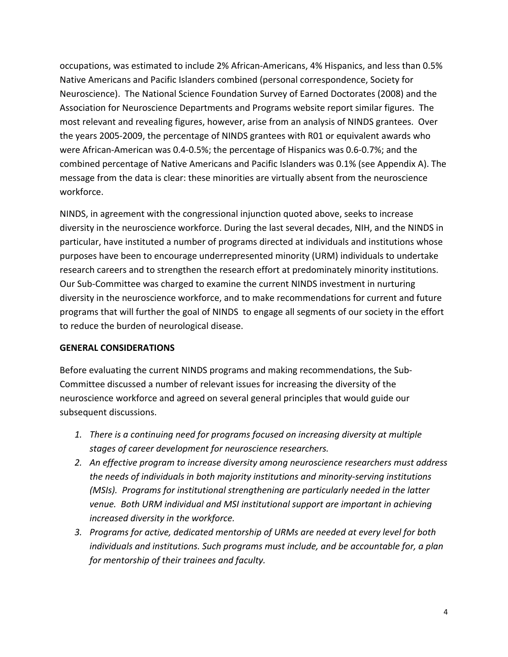occupations, was estimated to include 2% African‐Americans, 4% Hispanics, and less than 0.5% Native Americans and Pacific Islanders combined (personal correspondence, Society for Neuroscience). The National Science Foundation Survey of Earned Doctorates (2008) and the Association for Neuroscience Departments and Programs website report similar figures. The most relevant and revealing figures, however, arise from an analysis of NINDS grantees. Over the years 2005‐2009, the percentage of NINDS grantees with R01 or equivalent awards who were African‐American was 0.4‐0.5%; the percentage of Hispanics was 0.6‐0.7%; and the combined percentage of Native Americans and Pacific Islanders was 0.1% (see Appendix A). The message from the data is clear: these minorities are virtually absent from the neuroscience workforce.

 NINDS, in agreement with the congressional injunction quoted above, seeks to increase diversity in the neuroscience workforce. During the last several decades, NIH, and the NINDS in particular, have instituted a number of programs directed at individuals and institutions whose purposes have been to encourage underrepresented minority (URM) individuals to undertake research careers and to strengthen the research effort at predominately minority institutions. Our Sub‐Committee was charged to examine the current NINDS investment in nurturing diversity in the neuroscience workforce, and to make recommendations for current and future programs that will further the goal of NINDS to engage all segments of our society in the effort to reduce the burden of neurological disease.

#### **GENERAL CONSIDERATIONS**

 Before evaluating the current NINDS programs and making recommendations, the Sub‐ Committee discussed a number of relevant issues for increasing the diversity of the neuroscience workforce and agreed on several general principles that would guide our subsequent discussions.

- *1. There is a continuing need for programs focused on increasing diversity at multiple stages of career development for neuroscience researchers.*
- *2. An effective program to increase diversity among neuroscience researchers must address the needs of individuals in both majority institutions and minority‐serving institutions (MSIs). Programs for institutional strengthening are particularly needed in the latter venue. Both URM individual and MSI institutional support are important in achieving increased diversity in the workforce.*
- 3. Programs for active, dedicated mentorship of URMs are needed at every level for both  *individuals and institutions. Such programs must include, and be accountable for, a plan for mentorship of their trainees and faculty.*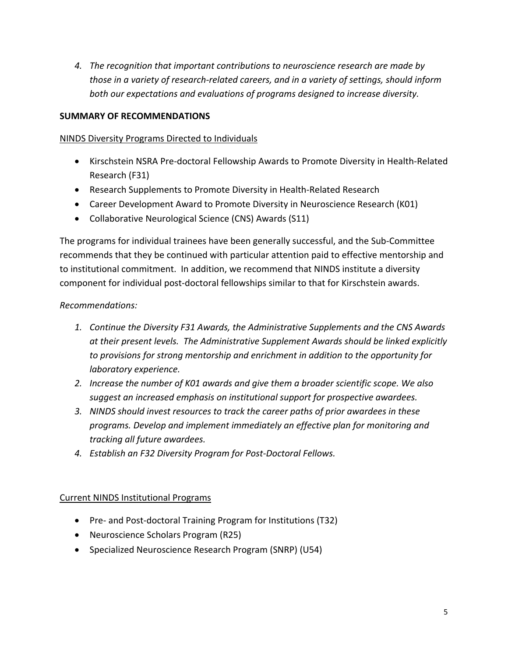*4. The recognition that important contributions to neuroscience research are made by* those in a variety of research-related careers, and in a variety of settings, should inform  *both our expectations and evaluations of programs designed to increase diversity.*

# **SUMMARY OF RECOMMENDATIONS**

## NINDS Diversity Programs Directed to Individuals

- Kirschstein NSRA Pre‐doctoral Fellowship Awards to Promote Diversity in Health‐Related Research (F31)
- Research Supplements to Promote Diversity in Health-Related Research
- Career Development Award to Promote Diversity in Neuroscience Research (K01)
- Collaborative Neurological Science (CNS) Awards (S11)

 The programs for individual trainees have been generally successful, and the Sub‐Committee recommends that they be continued with particular attention paid to effective mentorship and to institutional commitment. In addition, we recommend that NINDS institute a diversity component for individual post‐doctoral fellowships similar to that for Kirschstein awards.

# *Recommendations:*

- *1. Continue the Diversity F31 Awards, the Administrative Supplements and the CNS Awards at their present levels. The Administrative Supplement Awards should be linked explicitly to provisions for strong mentorship and enrichment in addition to the opportunity for laboratory experience.*
- 2. Increase the number of K01 awards and give them a broader scientific scope. We also  *suggest an increased emphasis on institutional support for prospective awardees.*
- 3. NINDS should invest resources to track the career paths of prior awardees in these  *programs. Develop and implement immediately an effective plan for monitoring and tracking all future awardees.*
- *4. Establish an F32 Diversity Program for Post‐Doctoral Fellows.*

# Current NINDS Institutional Programs

- Pre- and Post-doctoral Training Program for Institutions (T32)
- Neuroscience Scholars Program (R25)
- Specialized Neuroscience Research Program (SNRP) (U54)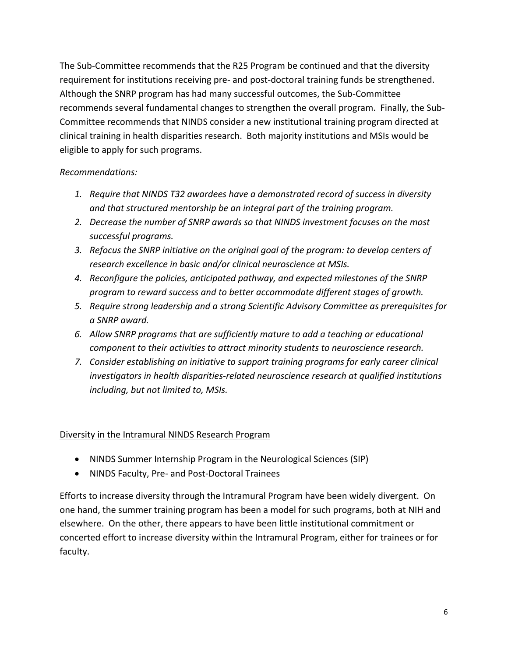The Sub‐Committee recommends that the R25 Program be continued and that the diversity requirement for institutions receiving pre‐ and post‐doctoral training funds be strengthened. Although the SNRP program has had many successful outcomes, the Sub‐Committee recommends several fundamental changes to strengthen the overall program. Finally, the Sub‐ Committee recommends that NINDS consider a new institutional training program directed at clinical training in health disparities research. Both majority institutions and MSIs would be eligible to apply for such programs.

### *Recommendations:*

- *1. Require that NINDS T32 awardees have a demonstrated record of success in diversity and that structured mentorship be an integral part of the training program.*
- *2. Decrease the number of SNRP awards so that NINDS investment focuses on the most successful programs.*
- 3. Refocus the SNRP initiative on the original goal of the program: to develop centers of  *research excellence in basic and/or clinical neuroscience at MSIs.*
- *4. Reconfigure the policies, anticipated pathway, and expected milestones of the SNRP program to reward success and to better accommodate different stages of growth.*
- *5. Require strong leadership and a strong Scientific Advisory Committee as prerequisites for a SNRP award.*
- *6. Allow SNRP programs that are sufficiently mature to add a teaching or educational component to their activities to attract minority students to neuroscience research.*
- *7. Consider establishing an initiative to support training programs for early career clinical investigators in health disparities‐related neuroscience research at qualified institutions including, but not limited to, MSIs.*

# Diversity in the Intramural NINDS Research Program

- NINDS Summer Internship Program in the Neurological Sciences (SIP)
- **NINDS Faculty, Pre- and Post-Doctoral Trainees**

 Efforts to increase diversity through the Intramural Program have been widely divergent. On one hand, the summer training program has been a model for such programs, both at NIH and elsewhere. On the other, there appears to have been little institutional commitment or concerted effort to increase diversity within the Intramural Program, either for trainees or for faculty.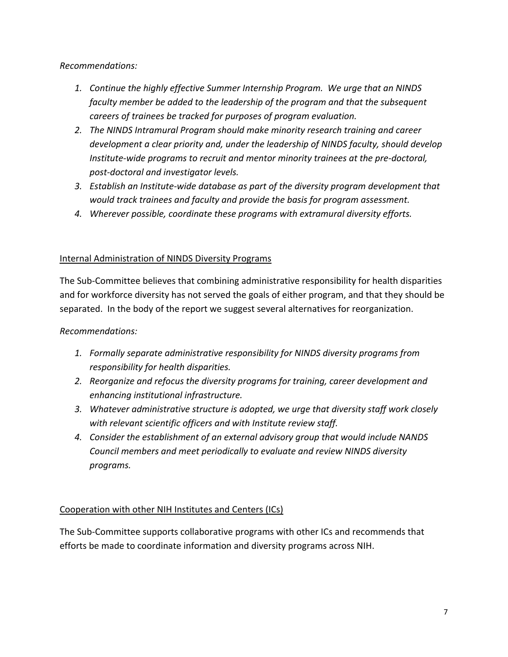## *Recommendations:*

- *1. Continue the highly effective Summer Internship Program. We urge that an NINDS faculty member be added to the leadership of the program and that the subsequent careers of trainees be tracked for purposes of program evaluation.*
- *2. The NINDS Intramural Program should make minority research training and career development a clear priority and, under the leadership of NINDS faculty, should develop Institute‐wide programs to recruit and mentor minority trainees at the pre‐doctoral, post‐doctoral and investigator levels.*
- 3. Establish an Institute-wide database as part of the diversity program development that  *would track trainees and faculty and provide the basis for program assessment.*
- *4. Wherever possible, coordinate these programs with extramural diversity efforts.*

# Internal Administration of NINDS Diversity Programs

 The Sub‐Committee believes that combining administrative responsibility for health disparities and for workforce diversity has not served the goals of either program, and that they should be separated. In the body of the report we suggest several alternatives for reorganization.

# *Recommendations:*

- *1. Formally separate administrative responsibility for NINDS diversity programs from responsibility for health disparities.*
- *2. Reorganize and refocus the diversity programs for training, career development and enhancing institutional infrastructure.*
- *3. Whatever administrative structure is adopted, we urge that diversity staff work closely with relevant scientific officers and with Institute review staff.*
- *4. Consider the establishment of an external advisory group that would include NANDS Council members and meet periodically to evaluate and review NINDS diversity programs.*

# Cooperation with other NIH Institutes and Centers (ICs)

 The Sub‐Committee supports collaborative programs with other ICs and recommends that efforts be made to coordinate information and diversity programs across NIH.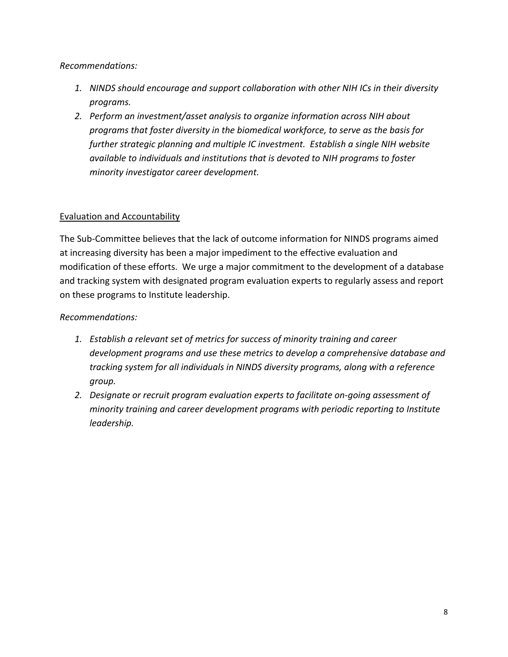# *Recommendations:*

- 1. NINDS should encourage and support collaboration with other NIH ICs in their diversity *programs.*
- *2. Perform an investment/asset analysis to organize information across NIH about programs that foster diversity in the biomedical workforce, to serve as the basis for further strategic planning and multiple IC investment. Establish a single NIH website available to individuals and institutions that is devoted to NIH programs to foster minority investigator career development.*

# Evaluation and Accountability

 The Sub‐Committee believes that the lack of outcome information for NINDS programs aimed at increasing diversity has been a major impediment to the effective evaluation and modification of these efforts. We urge a major commitment to the development of a database and tracking system with designated program evaluation experts to regularly assess and report on these programs to Institute leadership.

# *Recommendations:*

- *1. Establish a relevant set of metrics for success of minority training and career development programs and use these metrics to develop a comprehensive database and tracking system for all individuals in NINDS diversity programs, along with a reference group.*
- *2. Designate or recruit program evaluation experts to facilitate on‐going assessment of minority training and career development programs with periodic reporting to Institute leadership.*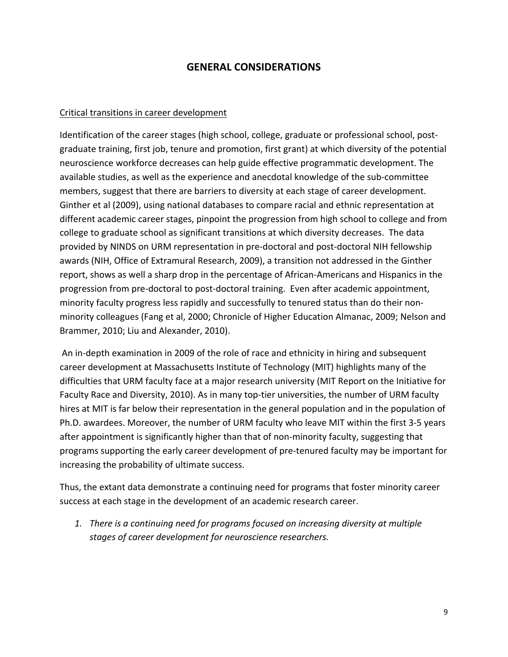# **GENERAL CONSIDERATIONS**

## Critical transitions in career development

 Identification of the career stages (high school, college, graduate or professional school, post‐ graduate training, first job, tenure and promotion, first grant) at which diversity of the potential neuroscience workforce decreases can help guide effective programmatic development. The available studies, as well as the experience and anecdotal knowledge of the sub‐committee members, suggest that there are barriers to diversity at each stage of career development. Ginther et al (2009), using national databases to compare racial and ethnic representation at different academic career stages, pinpoint the progression from high school to college and from college to graduate school as significant transitions at which diversity decreases. The data provided by NINDS on URM representation in pre‐doctoral and post‐doctoral NIH fellowship awards (NIH, Office of Extramural Research, 2009), a transition not addressed in the Ginther report, shows as well a sharp drop in the percentage of African‐Americans and Hispanics in the progression from pre‐doctoral to post‐doctoral training. Even after academic appointment, minority faculty progress less rapidly and successfully to tenured status than do their non‐ minority colleagues (Fang et al, 2000; Chronicle of Higher Education Almanac, 2009; Nelson and Brammer, 2010; Liu and Alexander, 2010).

 An in‐depth examination in 2009 of the role of race and ethnicity in hiring and subsequent career development at Massachusetts Institute of Technology (MIT) highlights many of the difficulties that URM faculty face at a major research university (MIT Report on the Initiative for Faculty Race and Diversity, 2010). As in many top-tier universities, the number of URM faculty hires at MIT is far below their representation in the general population and in the population of Ph.D. awardees. Moreover, the number of URM faculty who leave MIT within the first 3‐5 years after appointment is significantly higher than that of non‐minority faculty, suggesting that programs supporting the early career development of pre‐tenured faculty may be important for increasing the probability of ultimate success.

 Thus, the extant data demonstrate a continuing need for programs that foster minority career success at each stage in the development of an academic research career.

 *1. There is a continuing need for programs focused on increasing diversity at multiple stages of career development for neuroscience researchers.*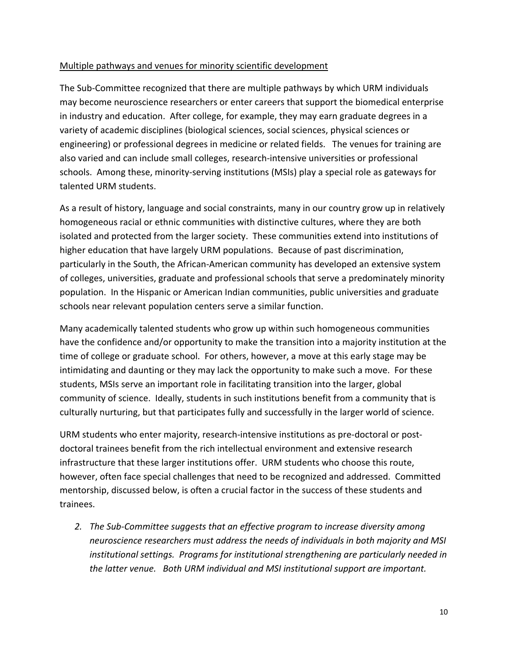## Multiple pathways and venues for minority scientific development

 The Sub‐Committee recognized that there are multiple pathways by which URM individuals may become neuroscience researchers or enter careers that support the biomedical enterprise in industry and education. After college, for example, they may earn graduate degrees in a variety of academic disciplines (biological sciences, social sciences, physical sciences or engineering) or professional degrees in medicine or related fields. The venues for training are also varied and can include small colleges, research‐intensive universities or professional schools. Among these, minority‐serving institutions (MSIs) play a special role as gateways for talented URM students.

 As a result of history, language and social constraints, many in our country grow up in relatively homogeneous racial or ethnic communities with distinctive cultures, where they are both isolated and protected from the larger society. These communities extend into institutions of higher education that have largely URM populations. Because of past discrimination, particularly in the South, the African‐American community has developed an extensive system of colleges, universities, graduate and professional schools that serve a predominately minority population. In the Hispanic or American Indian communities, public universities and graduate schools near relevant population centers serve a similar function.

 Many academically talented students who grow up within such homogeneous communities have the confidence and/or opportunity to make the transition into a majority institution at the time of college or graduate school. For others, however, a move at this early stage may be intimidating and daunting or they may lack the opportunity to make such a move. For these students, MSIs serve an important role in facilitating transition into the larger, global community of science. Ideally, students in such institutions benefit from a community that is culturally nurturing, but that participates fully and successfully in the larger world of science.

 URM students who enter majority, research‐intensive institutions as pre‐doctoral or post‐ doctoral trainees benefit from the rich intellectual environment and extensive research infrastructure that these larger institutions offer. URM students who choose this route, however, often face special challenges that need to be recognized and addressed. Committed mentorship, discussed below, is often a crucial factor in the success of these students and trainees.

 *2. The Sub‐Committee suggests that an effective program to increase diversity among neuroscience researchers must address the needs of individuals in both majority and MSI institutional settings. Programs for institutional strengthening are particularly needed in the latter venue. Both URM individual and MSI institutional support are important.*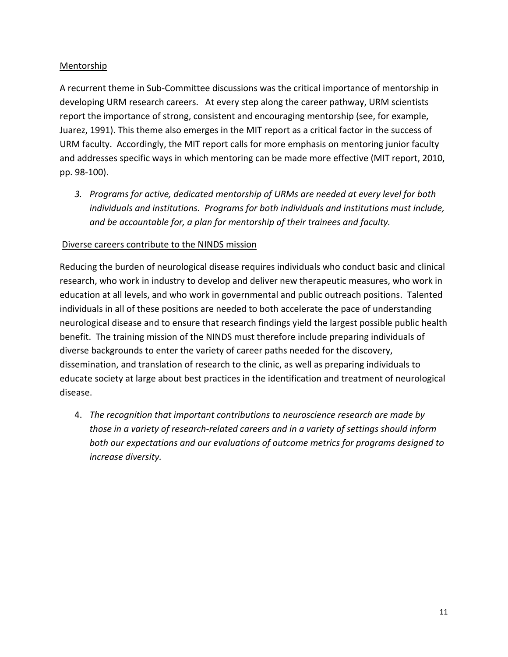### Mentorship

 A recurrent theme in Sub‐Committee discussions was the critical importance of mentorship in developing URM research careers. At every step along the career pathway, URM scientists report the importance of strong, consistent and encouraging mentorship (see, for example, Juarez, 1991). This theme also emerges in the MIT report as a critical factor in the success of URM faculty. Accordingly, the MIT report calls for more emphasis on mentoring junior faculty and addresses specific ways in which mentoring can be made more effective (MIT report, 2010, pp. 98‐100).

3. Programs for active, dedicated mentorship of URMs are needed at every level for both  *individuals and institutions. Programs for both individuals and institutions must include, and be accountable for, a plan for mentorship of their trainees and faculty.*

## Diverse careers contribute to the NINDS mission

 Reducing the burden of neurological disease requires individuals who conduct basic and clinical research, who work in industry to develop and deliver new therapeutic measures, who work in education at all levels, and who work in governmental and public outreach positions. Talented individuals in all of these positions are needed to both accelerate the pace of understanding neurological disease and to ensure that research findings yield the largest possible public health benefit. The training mission of the NINDS must therefore include preparing individuals of diverse backgrounds to enter the variety of career paths needed for the discovery, dissemination, and translation of research to the clinic, as well as preparing individuals to educate society at large about best practices in the identification and treatment of neurological disease.

 4. *The recognition that important contributions to neuroscience research are made by* those in a variety of research-related careers and in a variety of settings should inform  *both our expectations and our evaluations of outcome metrics for programs designed to increase diversity.*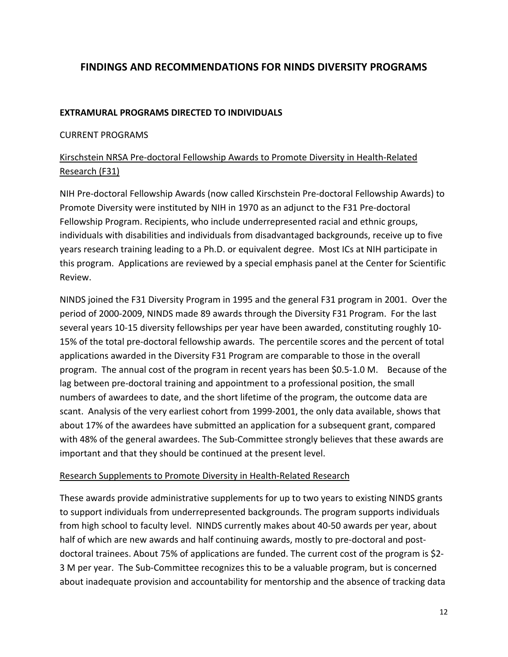# **FINDINGS AND RECOMMENDATIONS FOR NINDS DIVERSITY PROGRAMS**

#### **EXTRAMURAL PROGRAMS DIRECTED TO INDIVIDUALS**

## CURRENT PROGRAMS

# Kirschstein NRSA Pre‐doctoral Fellowship Awards to Promote Diversity in Health‐Related Research (F31)

 NIH Pre‐doctoral Fellowship Awards (now called Kirschstein Pre‐doctoral Fellowship Awards) to Promote Diversity were instituted by NIH in 1970 as an adjunct to the F31 Pre‐doctoral Fellowship Program. Recipients, who include underrepresented racial and ethnic groups, individuals with disabilities and individuals from disadvantaged backgrounds, receive up to five years research training leading to a Ph.D. or equivalent degree. Most ICs at NIH participate in this program. Applications are reviewed by a special emphasis panel at the Center for Scientific Review.

 NINDS joined the F31 Diversity Program in 1995 and the general F31 program in 2001. Over the period of 2000‐2009, NINDS made 89 awards through the Diversity F31 Program. For the last several years 10‐15 diversity fellowships per year have been awarded, constituting roughly 10‐ 15% of the total pre‐doctoral fellowship awards. The percentile scores and the percent of total applications awarded in the Diversity F31 Program are comparable to those in the overall program. The annual cost of the program in recent years has been \$0.5‐1.0 M. Because of the lag between pre‐doctoral training and appointment to a professional position, the small numbers of awardees to date, and the short lifetime of the program, the outcome data are scant. Analysis of the very earliest cohort from 1999‐2001, the only data available, shows that about 17% of the awardees have submitted an application for a subsequent grant, compared with 48% of the general awardees. The Sub‐Committee strongly believes that these awards are important and that they should be continued at the present level.

#### Research Supplements to Promote Diversity in Health‐Related Research

 These awards provide administrative supplements for up to two years to existing NINDS grants to support individuals from underrepresented backgrounds. The program supports individuals from high school to faculty level. NINDS currently makes about 40‐50 awards per year, about half of which are new awards and half continuing awards, mostly to pre‐doctoral and post‐ doctoral trainees. About 75% of applications are funded. The current cost of the program is \$2‐ 3 M per year. The Sub‐Committee recognizes this to be a valuable program, but is concerned about inadequate provision and accountability for mentorship and the absence of tracking data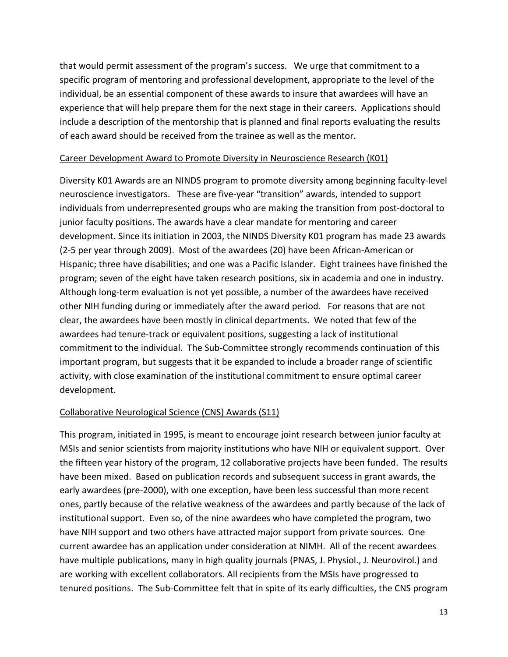that would permit assessment of the program's success. We urge that commitment to a specific program of mentoring and professional development, appropriate to the level of the individual, be an essential component of these awards to insure that awardees will have an experience that will help prepare them for the next stage in their careers. Applications should include a description of the mentorship that is planned and final reports evaluating the results of each award should be received from the trainee as well as the mentor.

#### Career Development Award to Promote Diversity in Neuroscience Research (K01)

 Diversity K01 Awards are an NINDS program to promote diversity among beginning faculty‐level neuroscience investigators. These are five‐year "transition" awards, intended to support individuals from underrepresented groups who are making the transition from post‐doctoral to junior faculty positions. The awards have a clear mandate for mentoring and career development. Since its initiation in 2003, the NINDS Diversity K01 program has made 23 awards (2‐5 per year through 2009). Most of the awardees (20) have been African‐American or Hispanic; three have disabilities; and one was a Pacific Islander. Eight trainees have finished the program; seven of the eight have taken research positions, six in academia and one in industry. Although long‐term evaluation is not yet possible, a number of the awardees have received other NIH funding during or immediately after the award period. For reasons that are not clear, the awardees have been mostly in clinical departments. We noted that few of the awardees had tenure‐track or equivalent positions, suggesting a lack of institutional commitment to the individual. The Sub‐Committee strongly recommends continuation of this important program, but suggests that it be expanded to include a broader range of scientific activity, with close examination of the institutional commitment to ensure optimal career development.

### Collaborative Neurological Science (CNS) Awards (S11)

 This program, initiated in 1995, is meant to encourage joint research between junior faculty at MSIs and senior scientists from majority institutions who have NIH or equivalent support. Over the fifteen year history of the program, 12 collaborative projects have been funded. The results have been mixed. Based on publication records and subsequent success in grant awards, the early awardees (pre‐2000), with one exception, have been less successful than more recent ones, partly because of the relative weakness of the awardees and partly because of the lack of institutional support. Even so, of the nine awardees who have completed the program, two have NIH support and two others have attracted major support from private sources. One current awardee has an application under consideration at NIMH. All of the recent awardees have multiple publications, many in high quality journals (PNAS, J. Physiol., J. Neurovirol.) and are working with excellent collaborators. All recipients from the MSIs have progressed to tenured positions. The Sub‐Committee felt that in spite of its early difficulties, the CNS program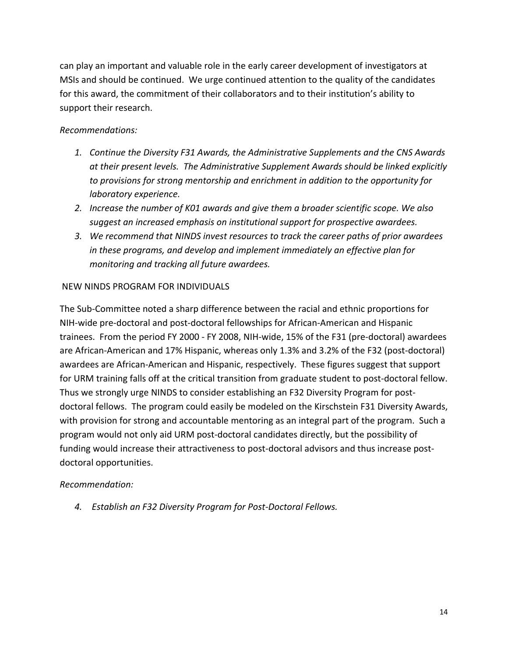can play an important and valuable role in the early career development of investigators at MSIs and should be continued. We urge continued attention to the quality of the candidates for this award, the commitment of their collaborators and to their institution's ability to support their research.

# *Recommendations:*

- *1. Continue the Diversity F31 Awards, the Administrative Supplements and the CNS Awards at their present levels. The Administrative Supplement Awards should be linked explicitly to provisions for strong mentorship and enrichment in addition to the opportunity for laboratory experience.*
- 2. Increase the number of K01 awards and give them a broader scientific scope. We also  *suggest an increased emphasis on institutional support for prospective awardees.*
- 3. We recommend that NINDS invest resources to track the career paths of prior awardees  *in these programs, and develop and implement immediately an effective plan for monitoring and tracking all future awardees.*

# NEW NINDS PROGRAM FOR INDIVIDUALS

 The Sub‐Committee noted a sharp difference between the racial and ethnic proportions for NIH‐wide pre‐doctoral and post‐doctoral fellowships for African‐American and Hispanic trainees. From the period FY 2000 ‐ FY 2008, NIH‐wide, 15% of the F31 (pre‐doctoral) awardees are African‐American and 17% Hispanic, whereas only 1.3% and 3.2% of the F32 (post‐doctoral) awardees are African‐American and Hispanic, respectively. These figures suggest that support for URM training falls off at the critical transition from graduate student to post‐doctoral fellow. Thus we strongly urge NINDS to consider establishing an F32 Diversity Program for post‐ doctoral fellows. The program could easily be modeled on the Kirschstein F31 Diversity Awards, with provision for strong and accountable mentoring as an integral part of the program. Such a program would not only aid URM post‐doctoral candidates directly, but the possibility of funding would increase their attractiveness to post‐doctoral advisors and thus increase post‐ doctoral opportunities.

# *Recommendation:*

 *4. Establish an F32 Diversity Program for Post‐Doctoral Fellows.*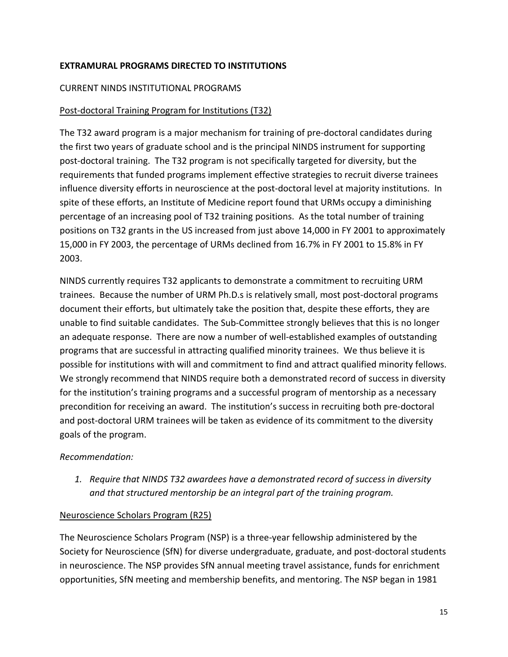## **EXTRAMURAL PROGRAMS DIRECTED TO INSTITUTIONS**

#### CURRENT NINDS INSTITUTIONAL PROGRAMS

### Post‐doctoral Training Program for Institutions (T32)

 The T32 award program is a major mechanism for training of pre‐doctoral candidates during the first two years of graduate school and is the principal NINDS instrument for supporting post‐doctoral training. The T32 program is not specifically targeted for diversity, but the requirements that funded programs implement effective strategies to recruit diverse trainees influence diversity efforts in neuroscience at the post‐doctoral level at majority institutions. In spite of these efforts, an Institute of Medicine report found that URMs occupy a diminishing percentage of an increasing pool of T32 training positions. As the total number of training positions on T32 grants in the US increased from just above 14,000 in FY 2001 to approximately 15,000 in FY 2003, the percentage of URMs declined from 16.7% in FY 2001 to 15.8% in FY 2003.

 NINDS currently requires T32 applicants to demonstrate a commitment to recruiting URM trainees. Because the number of URM Ph.D.s is relatively small, most post‐doctoral programs document their efforts, but ultimately take the position that, despite these efforts, they are unable to find suitable candidates. The Sub‐Committee strongly believes that this is no longer an adequate response. There are now a number of well‐established examples of outstanding programs that are successful in attracting qualified minority trainees. We thus believe it is possible for institutions with will and commitment to find and attract qualified minority fellows. We strongly recommend that NINDS require both a demonstrated record of success in diversity for the institution's training programs and a successful program of mentorship as a necessary precondition for receiving an award. The institution's success in recruiting both pre‐doctoral and post‐doctoral URM trainees will be taken as evidence of its commitment to the diversity goals of the program.

## *Recommendation:*

 *1. Require that NINDS T32 awardees have a demonstrated record of success in diversity and that structured mentorship be an integral part of the training program.*

# Neuroscience Scholars Program (R25)

 The Neuroscience Scholars Program (NSP) is a three‐year fellowship administered by the Society for Neuroscience (SfN) for diverse undergraduate, graduate, and post‐doctoral students in neuroscience. The NSP provides SfN annual meeting travel assistance, funds for enrichment opportunities, SfN meeting and membership benefits, and mentoring. The NSP began in 1981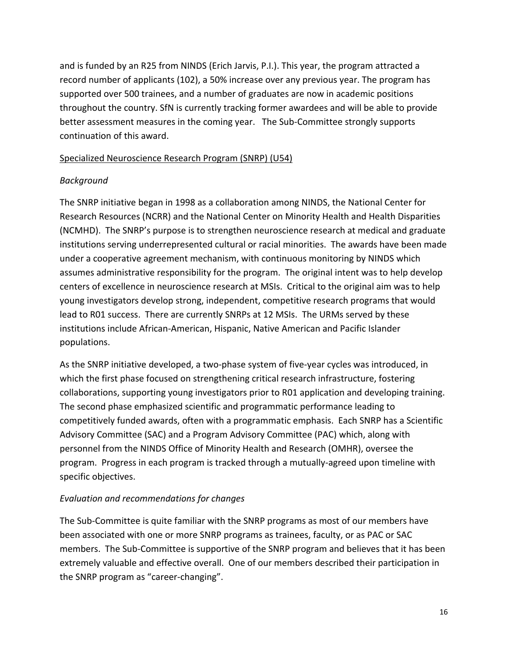and is funded by an R25 from NINDS (Erich Jarvis, P.I.). This year, the program attracted a record number of applicants (102), a 50% increase over any previous year. The program has supported over 500 trainees, and a number of graduates are now in academic positions throughout the country. SfN is currently tracking former awardees and will be able to provide better assessment measures in the coming year. The Sub‐Committee strongly supports continuation of this award.

# Specialized Neuroscience Research Program (SNRP) (U54)

#### *Background*

 The SNRP initiative began in 1998 as a collaboration among NINDS, the National Center for Research Resources (NCRR) and the National Center on Minority Health and Health Disparities (NCMHD). The SNRP's purpose is to strengthen neuroscience research at medical and graduate institutions serving underrepresented cultural or racial minorities. The awards have been made under a cooperative agreement mechanism, with continuous monitoring by NINDS which assumes administrative responsibility for the program. The original intent was to help develop centers of excellence in neuroscience research at MSIs. Critical to the original aim was to help young investigators develop strong, independent, competitive research programs that would lead to R01 success. There are currently SNRPs at 12 MSIs. The URMs served by these institutions include African‐American, Hispanic, Native American and Pacific Islander populations.

 As the SNRP initiative developed, a two‐phase system of five‐year cycles was introduced, in which the first phase focused on strengthening critical research infrastructure, fostering collaborations, supporting young investigators prior to R01 application and developing training. The second phase emphasized scientific and programmatic performance leading to competitively funded awards, often with a programmatic emphasis. Each SNRP has a Scientific Advisory Committee (SAC) and a Program Advisory Committee (PAC) which, along with personnel from the NINDS Office of Minority Health and Research (OMHR), oversee the program. Progress in each program is tracked through a mutually‐agreed upon timeline with specific objectives.

### *Evaluation and recommendations for changes*

 The Sub‐Committee is quite familiar with the SNRP programs as most of our members have been associated with one or more SNRP programs as trainees, faculty, or as PAC or SAC members. The Sub‐Committee is supportive of the SNRP program and believes that it has been extremely valuable and effective overall. One of our members described their participation in the SNRP program as "career‐changing".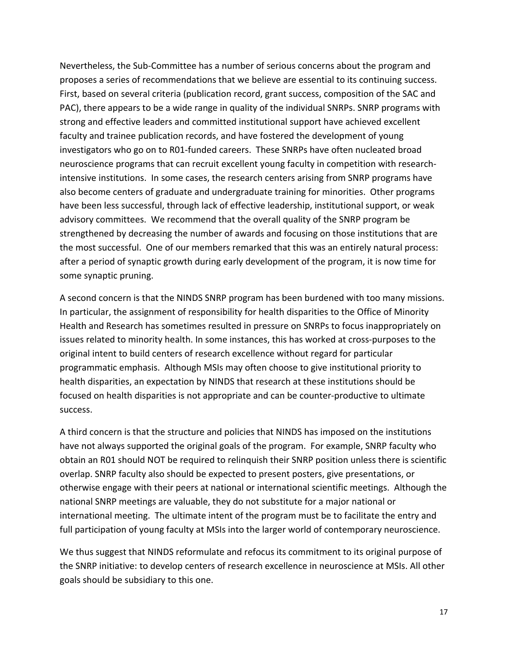Nevertheless, the Sub‐Committee has a number of serious concerns about the program and proposes a series of recommendations that we believe are essential to its continuing success. First, based on several criteria (publication record, grant success, composition of the SAC and PAC), there appears to be a wide range in quality of the individual SNRPs. SNRP programs with strong and effective leaders and committed institutional support have achieved excellent faculty and trainee publication records, and have fostered the development of young investigators who go on to R01‐funded careers. These SNRPs have often nucleated broad neuroscience programs that can recruit excellent young faculty in competition with research‐ intensive institutions. In some cases, the research centers arising from SNRP programs have also become centers of graduate and undergraduate training for minorities. Other programs have been less successful, through lack of effective leadership, institutional support, or weak advisory committees. We recommend that the overall quality of the SNRP program be strengthened by decreasing the number of awards and focusing on those institutions that are the most successful. One of our members remarked that this was an entirely natural process: after a period of synaptic growth during early development of the program, it is now time for some synaptic pruning.

 A second concern is that the NINDS SNRP program has been burdened with too many missions. In particular, the assignment of responsibility for health disparities to the Office of Minority Health and Research has sometimes resulted in pressure on SNRPs to focus inappropriately on issues related to minority health. In some instances, this has worked at cross‐purposes to the original intent to build centers of research excellence without regard for particular programmatic emphasis. Although MSIs may often choose to give institutional priority to health disparities, an expectation by NINDS that research at these institutions should be focused on health disparities is not appropriate and can be counter‐productive to ultimate success.

 A third concern is that the structure and policies that NINDS has imposed on the institutions have not always supported the original goals of the program. For example, SNRP faculty who obtain an R01 should NOT be required to relinquish their SNRP position unless there is scientific overlap. SNRP faculty also should be expected to present posters, give presentations, or otherwise engage with their peers at national or international scientific meetings. Although the national SNRP meetings are valuable, they do not substitute for a major national or international meeting. The ultimate intent of the program must be to facilitate the entry and full participation of young faculty at MSIs into the larger world of contemporary neuroscience.

 We thus suggest that NINDS reformulate and refocus its commitment to its original purpose of the SNRP initiative: to develop centers of research excellence in neuroscience at MSIs. All other goals should be subsidiary to this one.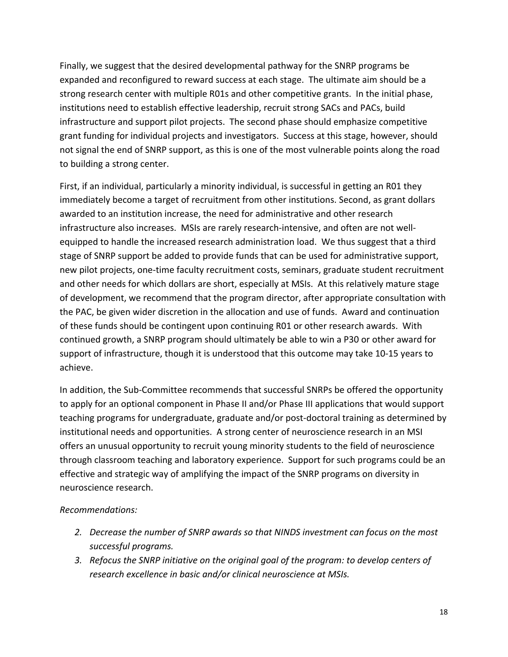Finally, we suggest that the desired developmental pathway for the SNRP programs be expanded and reconfigured to reward success at each stage. The ultimate aim should be a strong research center with multiple R01s and other competitive grants. In the initial phase, institutions need to establish effective leadership, recruit strong SACs and PACs, build infrastructure and support pilot projects. The second phase should emphasize competitive grant funding for individual projects and investigators. Success at this stage, however, should not signal the end of SNRP support, as this is one of the most vulnerable points along the road to building a strong center.

 First, if an individual, particularly a minority individual, is successful in getting an R01 they immediately become a target of recruitment from other institutions. Second, as grant dollars awarded to an institution increase, the need for administrative and other research infrastructure also increases. MSIs are rarely research‐intensive, and often are not well‐ equipped to handle the increased research administration load. We thus suggest that a third stage of SNRP support be added to provide funds that can be used for administrative support, new pilot projects, one‐time faculty recruitment costs, seminars, graduate student recruitment and other needs for which dollars are short, especially at MSIs. At this relatively mature stage of development, we recommend that the program director, after appropriate consultation with the PAC, be given wider discretion in the allocation and use of funds. Award and continuation of these funds should be contingent upon continuing R01 or other research awards. With continued growth, a SNRP program should ultimately be able to win a P30 or other award for support of infrastructure, though it is understood that this outcome may take 10‐15 years to achieve.

 In addition, the Sub‐Committee recommends that successful SNRPs be offered the opportunity to apply for an optional component in Phase II and/or Phase III applications that would support teaching programs for undergraduate, graduate and/or post‐doctoral training as determined by institutional needs and opportunities. A strong center of neuroscience research in an MSI offers an unusual opportunity to recruit young minority students to the field of neuroscience through classroom teaching and laboratory experience. Support for such programs could be an effective and strategic way of amplifying the impact of the SNRP programs on diversity in neuroscience research.

### *Recommendations:*

- 2. Decrease the number of SNRP awards so that NINDS investment can focus on the most *successful programs.*
- 3. Refocus the SNRP initiative on the original goal of the program: to develop centers of  *research excellence in basic and/or clinical neuroscience at MSIs.*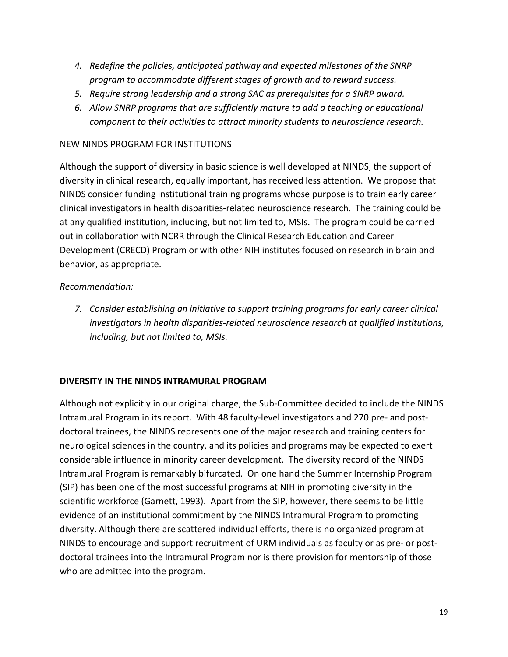- *4. Redefine the policies, anticipated pathway and expected milestones of the SNRP program to accommodate different stages of growth and to reward success.*
- 5. Require strong leadership and a strong SAC as prerequisites for a SNRP award.
- *6. Allow SNRP programs that are sufficiently mature to add a teaching or educational component to their activities to attract minority students to neuroscience research.*

### NEW NINDS PROGRAM FOR INSTITUTIONS

 Although the support of diversity in basic science is well developed at NINDS, the support of diversity in clinical research, equally important, has received less attention. We propose that NINDS consider funding institutional training programs whose purpose is to train early career clinical investigators in health disparities‐related neuroscience research. The training could be at any qualified institution, including, but not limited to, MSIs. The program could be carried out in collaboration with NCRR through the Clinical Research Education and Career Development (CRECD) Program or with other NIH institutes focused on research in brain and behavior, as appropriate.

#### *Recommendation:*

 *7. Consider establishing an initiative to support training programs for early career clinical investigators in health disparities‐related neuroscience research at qualified institutions, including, but not limited to, MSIs.*

#### **DIVERSITY IN THE NINDS INTRAMURAL PROGRAM**

 Although not explicitly in our original charge, the Sub‐Committee decided to include the NINDS Intramural Program in its report. With 48 faculty‐level investigators and 270 pre‐ and post‐ doctoral trainees, the NINDS represents one of the major research and training centers for neurological sciences in the country, and its policies and programs may be expected to exert considerable influence in minority career development. The diversity record of the NINDS Intramural Program is remarkably bifurcated. On one hand the Summer Internship Program (SIP) has been one of the most successful programs at NIH in promoting diversity in the scientific workforce (Garnett, 1993). Apart from the SIP, however, there seems to be little evidence of an institutional commitment by the NINDS Intramural Program to promoting diversity. Although there are scattered individual efforts, there is no organized program at NINDS to encourage and support recruitment of URM individuals as faculty or as pre‐ or post‐ doctoral trainees into the Intramural Program nor is there provision for mentorship of those who are admitted into the program.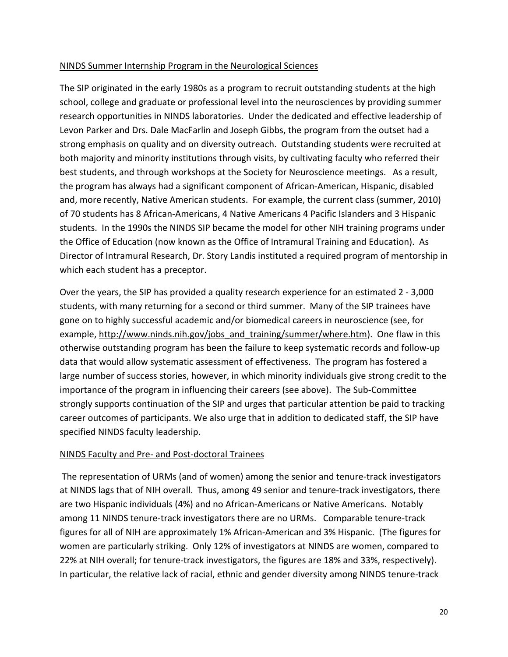## NINDS Summer Internship Program in the Neurological Sciences

 The SIP originated in the early 1980s as a program to recruit outstanding students at the high school, college and graduate or professional level into the neurosciences by providing summer research opportunities in NINDS laboratories. Under the dedicated and effective leadership of Levon Parker and Drs. Dale MacFarlin and Joseph Gibbs, the program from the outset had a strong emphasis on quality and on diversity outreach. Outstanding students were recruited at both majority and minority institutions through visits, by cultivating faculty who referred their best students, and through workshops at the Society for Neuroscience meetings. As a result, the program has always had a significant component of African‐American, Hispanic, disabled and, more recently, Native American students. For example, the current class (summer, 2010) of 70 students has 8 African‐Americans, 4 Native Americans 4 Pacific Islanders and 3 Hispanic students. In the 1990s the NINDS SIP became the model for other NIH training programs under the Office of Education (now known as the Office of Intramural Training and Education). As Director of Intramural Research, Dr. Story Landis instituted a required program of mentorship in which each student has a preceptor.

 Over the years, the SIP has provided a quality research experience for an estimated 2 ‐ 3,000 students, with many returning for a second or third summer. Many of the SIP trainees have gone on to highly successful academic and/or biomedical careers in neuroscience (see, for example, http://www.ninds.nih.gov/jobs\_and\_training/summer/where.htm). One flaw in this otherwise outstanding program has been the failure to keep systematic records and follow‐up data that would allow systematic assessment of effectiveness. The program has fostered a large number of success stories, however, in which minority individuals give strong credit to the importance of the program in influencing their careers (see above). The Sub‐Committee strongly supports continuation of the SIP and urges that particular attention be paid to tracking career outcomes of participants. We also urge that in addition to dedicated staff, the SIP have specified NINDS faculty leadership.

## NINDS Faculty and Pre‐ and Post‐doctoral Trainees

 The representation of URMs (and of women) among the senior and tenure‐track investigators at NINDS lags that of NIH overall. Thus, among 49 senior and tenure‐track investigators, there are two Hispanic individuals (4%) and no African‐Americans or Native Americans. Notably among 11 NINDS tenure‐track investigators there are no URMs. Comparable tenure‐track figures for all of NIH are approximately 1% African‐American and 3% Hispanic. (The figures for women are particularly striking. Only 12% of investigators at NINDS are women, compared to 22% at NIH overall; for tenure‐track investigators, the figures are 18% and 33%, respectively). In particular, the relative lack of racial, ethnic and gender diversity among NINDS tenure‐track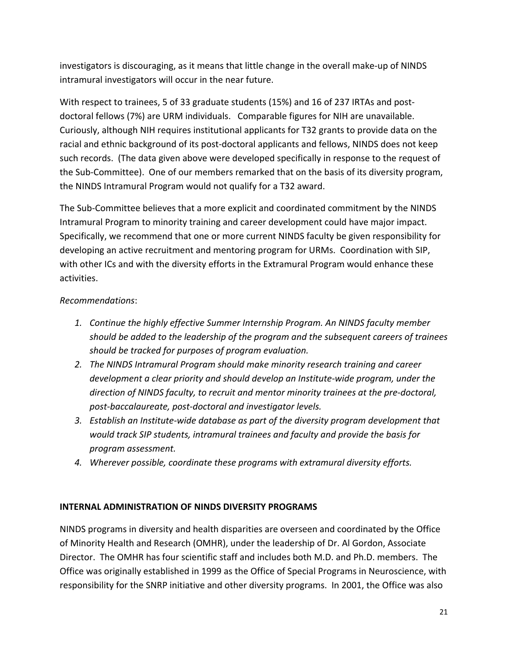investigators is discouraging, as it means that little change in the overall make‐up of NINDS intramural investigators will occur in the near future.

 With respect to trainees, 5 of 33 graduate students (15%) and 16 of 237 IRTAs and post‐ doctoral fellows (7%) are URM individuals. Comparable figures for NIH are unavailable. Curiously, although NIH requires institutional applicants for T32 grants to provide data on the racial and ethnic background of its post‐doctoral applicants and fellows, NINDS does not keep such records. (The data given above were developed specifically in response to the request of the Sub‐Committee). One of our members remarked that on the basis of its diversity program, the NINDS Intramural Program would not qualify for a T32 award.

 The Sub‐Committee believes that a more explicit and coordinated commitment by the NINDS Intramural Program to minority training and career development could have major impact. Specifically, we recommend that one or more current NINDS faculty be given responsibility for developing an active recruitment and mentoring program for URMs. Coordination with SIP, with other ICs and with the diversity efforts in the Extramural Program would enhance these activities.

# *Recommendations*:

- *1. Continue the highly effective Summer Internship Program. An NINDS faculty member* should be added to the leadership of the program and the subsequent careers of trainees  *should be tracked for purposes of program evaluation.*
- *2. The NINDS Intramural Program should make minority research training and career development a clear priority and should develop an Institute‐wide program, under the direction of NINDS faculty, to recruit and mentor minority trainees at the pre‐doctoral, post‐baccalaureate, post‐doctoral and investigator levels.*
- 3. Establish an Institute-wide database as part of the diversity program development that  *would track SIP students, intramural trainees and faculty and provide the basis for program assessment.*
- *4. Wherever possible, coordinate these programs with extramural diversity efforts.*

# **INTERNAL ADMINISTRATION OF NINDS DIVERSITY PROGRAMS**

 NINDS programs in diversity and health disparities are overseen and coordinated by the Office of Minority Health and Research (OMHR), under the leadership of Dr. Al Gordon, Associate Director. The OMHR has four scientific staff and includes both M.D. and Ph.D. members. The Office was originally established in 1999 as the Office of Special Programs in Neuroscience, with responsibility for the SNRP initiative and other diversity programs. In 2001, the Office was also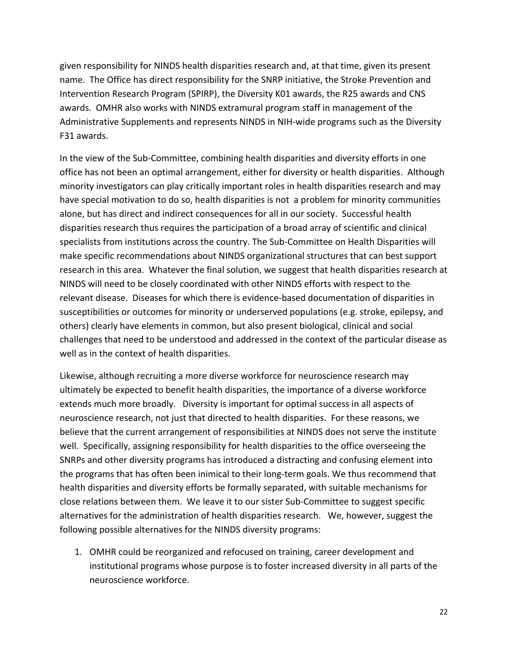given responsibility for NINDS health disparities research and, at that time, given its present name. The Office has direct responsibility for the SNRP initiative, the Stroke Prevention and Intervention Research Program (SPIRP), the Diversity K01 awards, the R25 awards and CNS awards. OMHR also works with NINDS extramural program staff in management of the Administrative Supplements and represents NINDS in NIH‐wide programs such as the Diversity F31 awards.

 In the view of the Sub‐Committee, combining health disparities and diversity efforts in one office has not been an optimal arrangement, either for diversity or health disparities. Although minority investigators can play critically important roles in health disparities research and may have special motivation to do so, health disparities is not a problem for minority communities alone, but has direct and indirect consequences for all in our society. Successful health disparities research thus requires the participation of a broad array of scientific and clinical specialists from institutions across the country. The Sub‐Committee on Health Disparities will make specific recommendations about NINDS organizational structures that can best support research in this area. Whatever the final solution, we suggest that health disparities research at NINDS will need to be closely coordinated with other NINDS efforts with respect to the relevant disease. Diseases for which there is evidence‐based documentation of disparities in susceptibilities or outcomes for minority or underserved populations (e.g. stroke, epilepsy, and others) clearly have elements in common, but also present biological, clinical and social challenges that need to be understood and addressed in the context of the particular disease as well as in the context of health disparities.

 Likewise, although recruiting a more diverse workforce for neuroscience research may ultimately be expected to benefit health disparities, the importance of a diverse workforce extends much more broadly. Diversity is important for optimal success in all aspects of neuroscience research, not just that directed to health disparities. For these reasons, we believe that the current arrangement of responsibilities at NINDS does not serve the institute well. Specifically, assigning responsibility for health disparities to the office overseeing the SNRPs and other diversity programs has introduced a distracting and confusing element into the programs that has often been inimical to their long‐term goals. We thus recommend that health disparities and diversity efforts be formally separated, with suitable mechanisms for close relations between them. We leave it to our sister Sub‐Committee to suggest specific alternatives for the administration of health disparities research. We, however, suggest the following possible alternatives for the NINDS diversity programs:

1. OMHR could be reorganized and refocused on training, career development and institutional programs whose purpose is to foster increased diversity in all parts of the neuroscience workforce.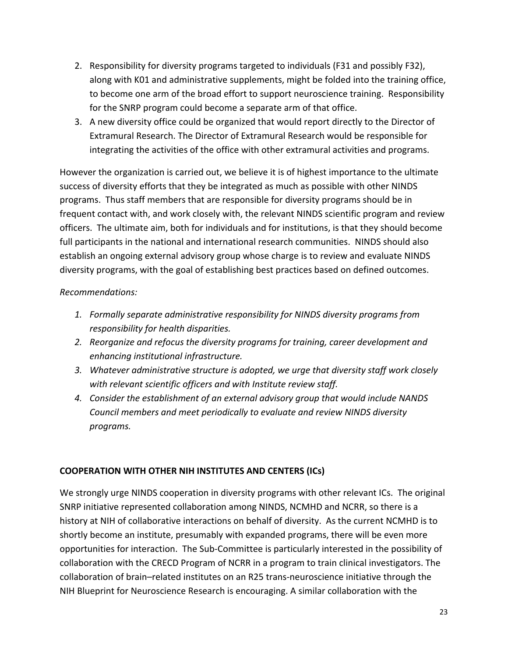- 2. Responsibility for diversity programs targeted to individuals (F31 and possibly F32), along with K01 and administrative supplements, might be folded into the training office, to become one arm of the broad effort to support neuroscience training. Responsibility for the SNRP program could become a separate arm of that office.
- 3. A new diversity office could be organized that would report directly to the Director of Extramural Research. The Director of Extramural Research would be responsible for integrating the activities of the office with other extramural activities and programs.

 However the organization is carried out, we believe it is of highest importance to the ultimate success of diversity efforts that they be integrated as much as possible with other NINDS programs. Thus staff members that are responsible for diversity programs should be in frequent contact with, and work closely with, the relevant NINDS scientific program and review officers. The ultimate aim, both for individuals and for institutions, is that they should become full participants in the national and international research communities. NINDS should also establish an ongoing external advisory group whose charge is to review and evaluate NINDS diversity programs, with the goal of establishing best practices based on defined outcomes.

# *Recommendations:*

- *1. Formally separate administrative responsibility for NINDS diversity programs from responsibility for health disparities.*
- *2. Reorganize and refocus the diversity programs for training, career development and enhancing institutional infrastructure.*
- *3. Whatever administrative structure is adopted, we urge that diversity staff work closely with relevant scientific officers and with Institute review staff.*
- *4. Consider the establishment of an external advisory group that would include NANDS Council members and meet periodically to evaluate and review NINDS diversity programs.*

### **COOPERATION WITH OTHER NIH INSTITUTES AND CENTERS (ICs)**

 We strongly urge NINDS cooperation in diversity programs with other relevant ICs. The original SNRP initiative represented collaboration among NINDS, NCMHD and NCRR, so there is a history at NIH of collaborative interactions on behalf of diversity. As the current NCMHD is to shortly become an institute, presumably with expanded programs, there will be even more opportunities for interaction. The Sub‐Committee is particularly interested in the possibility of collaboration with the CRECD Program of NCRR in a program to train clinical investigators. The collaboration of brain–related institutes on an R25 trans‐neuroscience initiative through the NIH Blueprint for Neuroscience Research is encouraging. A similar collaboration with the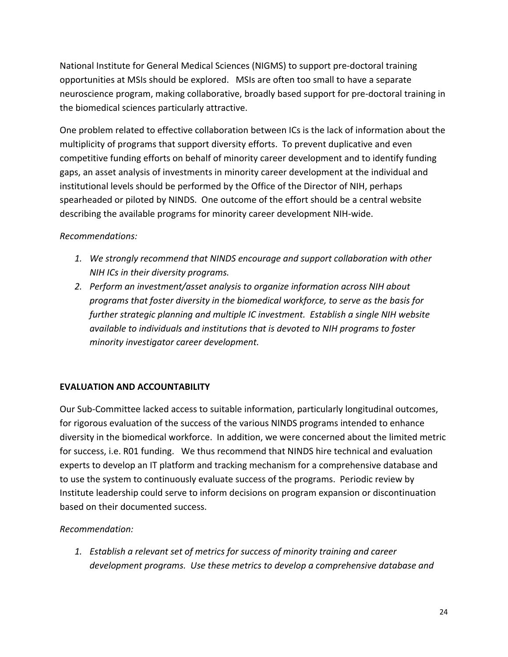National Institute for General Medical Sciences (NIGMS) to support pre‐doctoral training opportunities at MSIs should be explored. MSIs are often too small to have a separate neuroscience program, making collaborative, broadly based support for pre‐doctoral training in the biomedical sciences particularly attractive.

 One problem related to effective collaboration between ICs is the lack of information about the multiplicity of programs that support diversity efforts. To prevent duplicative and even competitive funding efforts on behalf of minority career development and to identify funding gaps, an asset analysis of investments in minority career development at the individual and institutional levels should be performed by the Office of the Director of NIH, perhaps spearheaded or piloted by NINDS. One outcome of the effort should be a central website describing the available programs for minority career development NIH‐wide.

# *Recommendations:*

- *1. We strongly recommend that NINDS encourage and support collaboration with other NIH ICs in their diversity programs.*
- *2. Perform an investment/asset analysis to organize information across NIH about programs that foster diversity in the biomedical workforce, to serve as the basis for further strategic planning and multiple IC investment. Establish a single NIH website available to individuals and institutions that is devoted to NIH programs to foster minority investigator career development.*

### **EVALUATION AND ACCOUNTABILITY**

 Our Sub‐Committee lacked access to suitable information, particularly longitudinal outcomes, for rigorous evaluation of the success of the various NINDS programs intended to enhance diversity in the biomedical workforce. In addition, we were concerned about the limited metric for success, i.e. R01 funding. We thus recommend that NINDS hire technical and evaluation experts to develop an IT platform and tracking mechanism for a comprehensive database and to use the system to continuously evaluate success of the programs. Periodic review by Institute leadership could serve to inform decisions on program expansion or discontinuation based on their documented success.

# *Recommendation:*

 *1. Establish a relevant set of metrics for success of minority training and career development programs. Use these metrics to develop a comprehensive database and*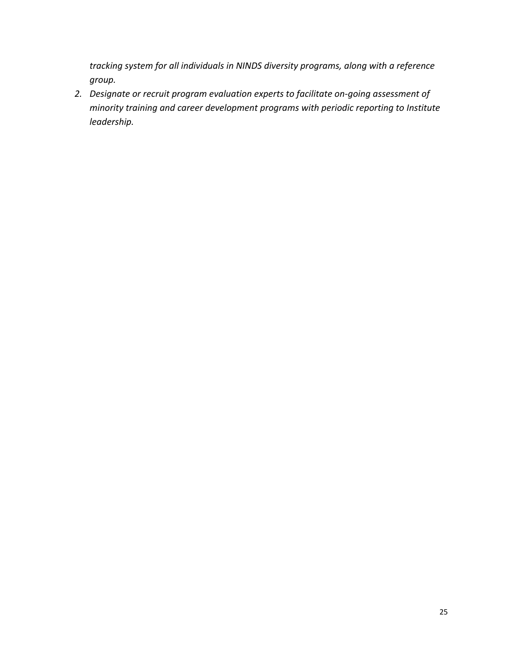*tracking system for all individuals in NINDS diversity programs, along with a reference group.*

 *2. Designate or recruit program evaluation experts to facilitate on‐going assessment of minority training and career development programs with periodic reporting to Institute leadership.*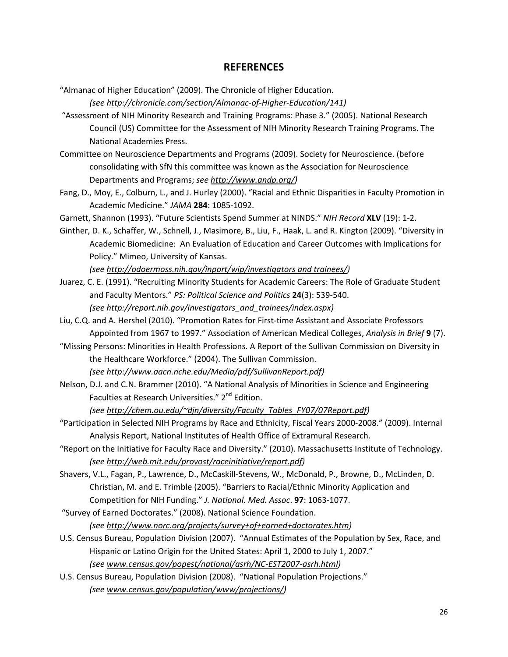#### **REFERENCES**

 "Almanac of Higher Education" (2009). The Chronicle of Higher Education.

*(see http://chronicle.com/section/Almanac‐of‐Higher‐Education/141)*

- "Assessment of NIH Minority Research and Training Programs: Phase 3." (2005). National Research Council (US) Committee for the Assessment of NIH Minority Research Training Programs. The National Academies Press.
- Committee on Neuroscience Departments and Programs (2009). Society for Neuroscience. (before consolidating with SfN this committee was known as the Association for Neuroscience Departments and Programs; *see http://www.andp.org/)*
- Fang, D., Moy, E., Colburn, L., and J. Hurley (2000). "Racial and Ethnic Disparities in Faculty Promotion in Academic Medicine." *JAMA* **284**: 1085‐1092.
- Garnett, Shannon (1993). "Future Scientists Spend Summer at NINDS." *NIH Record* **XLV** (19): 1‐2.
- Ginther, D. K., Schaffer, W., Schnell, J., Masimore, B., Liu, F., Haak, L. and R. Kington (2009). "Diversity in Academic Biomedicine: An Evaluation of Education and Career Outcomes with Implications for Policy." Mimeo, University of Kansas.

 *(see http://odoermoss.nih.gov/inport/wip/investigators and trainees/)*

- Juarez, C. E. (1991). "Recruiting Minority Students for Academic Careers: The Role of Graduate Student  and Faculty Mentors." *PS: Political Science and Politics* **24**(3): 539‐540. *(see http://report.nih.gov/investigators\_and\_trainees/index.aspx)*
- Liu, C.Q. and A. Hershel (2010). "Promotion Rates for First‐time Assistant and Associate Professors  Appointed from 1967 to 1997." Association of American Medical Colleges, *Analysis in Brief* **9** (7).
- "Missing Persons: Minorities in Health Professions. A Report of the Sullivan Commission on Diversity in the Healthcare Workforce." (2004). The Sullivan Commission.  *(see http://www.aacn.nche.edu/Media/pdf/SullivanReport.pdf)*
- Nelson, D.J. and C.N. Brammer (2010). "A National Analysis of Minorities in Science and Engineering Faculties at Research Universities." 2<sup>nd</sup> Edition.

*(see http://chem.ou.edu/~djn/diversity/Faculty\_Tables\_FY07/07Report.pdf)*

- "Participation in Selected NIH Programs by Race and Ethnicity, Fiscal Years 2000‐2008." (2009). Internal Analysis Report, National Institutes of Health Office of Extramural Research.
- "Report on the Initiative for Faculty Race and Diversity." (2010). Massachusetts Institute of Technology. *(see http://web.mit.edu/provost/raceinitiative/report.pdf)*
- Shavers, V.L., Fagan, P., Lawrence, D., McCaskill‐Stevens, W., McDonald, P., Browne, D., McLinden, D. Christian, M. and E. Trimble (2005). "Barriers to Racial/Ethnic Minority Application and  Competition for NIH Funding." *J. National. Med. Assoc*. **97**: 1063‐1077.
- "Survey of Earned Doctorates." (2008). National Science Foundation. *(see http://www.norc.org/projects/survey+of+earned+doctorates.htm)*
- U.S. Census Bureau, Population Division (2007). "Annual Estimates of the Population by Sex, Race, and Hispanic or Latino Origin for the United States: April 1, 2000 to July 1, 2007." *(see www.census.gov/popest/national/asrh/NC‐EST2007‐asrh.html)*
- U.S. Census Bureau, Population Division (2008). "National Population Projections." *(see www.census.gov/population/www/projections/)*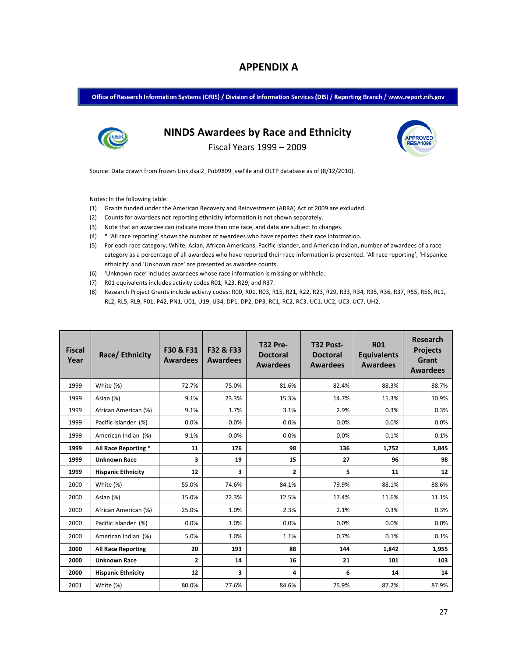## **APPENDIX A**

Office of Research Information Systems (ORIS) / Division of Information Services (DIS) / Reporting Branch / www.report.nih.gov



# **NINDS Awardees by Race and Ethnicity**

Fiscal Years 1999 – 2009

Source: Data drawn from frozen Link.dsai2\_Pub9809\_vwFile and OLTP database as of (8/12/2010).

Notes: In the following table:

- (1) Grants funded under the American Recovery and Reinvestment (ARRA) Act of 2009 are excluded.
- (2) Counts for awardees not reporting ethnicity information is not shown separately.
- (3) Note that an awardee can indicate more than one race, and data are subject to changes.
- (4) \* 'All race reporting' shows the number of awardees who have reported their race information.
- (5) For each race category, White, Asian, African Americans, Pacific Islander, and American Indian, number of awardees of a race category as a percentage of all awardees who have reported their race information is presented. 'All race reporting', 'Hispanice ethnicity' and 'Unknown race' are presented as awardee counts.
- (6) 'Unknown race' includes awardees whose race information is missing or withheld.
- (7) R01 equivalents includes activity codes R01, R23, R29, and R37.
- (8) Research Project Grants include activity codes: R00, R01, R03, R15, R21, R22, R23, R29, R34, R34, R35, R36, R37, R55, R56, RL1, RL2, RL5, RL9, P01, P42, PN1, U01, U19, U34, DP1, DP2, DP3, RC1, RC2, RC3, UC1, UC2, UC3, UC7, UH2.

| <b>Fiscal</b><br>Year | Race/Ethnicity            | F30 & F31<br><b>Awardees</b> | F32 & F33<br><b>Awardees</b> | <b>T32 Pre-</b><br><b>Doctoral</b><br><b>Awardees</b> | T32 Post-<br><b>Doctoral</b><br><b>Awardees</b> | <b>R01</b><br><b>Equivalents</b><br><b>Awardees</b> | Research<br><b>Projects</b><br>Grant<br><b>Awardees</b> |
|-----------------------|---------------------------|------------------------------|------------------------------|-------------------------------------------------------|-------------------------------------------------|-----------------------------------------------------|---------------------------------------------------------|
| 1999                  | White (%)                 | 72.7%                        | 75.0%                        | 81.6%                                                 | 82.4%                                           | 88.3%                                               | 88.7%                                                   |
| 1999                  | Asian (%)                 | 9.1%                         | 23.3%                        | 15.3%                                                 | 14.7%                                           | 11.3%                                               | 10.9%                                                   |
| 1999                  | African American (%)      | 9.1%                         | 1.7%                         | 3.1%                                                  | 2.9%                                            | 0.3%                                                | 0.3%                                                    |
| 1999                  | Pacific Islander (%)      | 0.0%                         | 0.0%                         | 0.0%                                                  | 0.0%                                            | 0.0%                                                | 0.0%                                                    |
| 1999                  | American Indian (%)       | 9.1%                         | 0.0%                         | 0.0%                                                  | 0.0%                                            | 0.1%                                                | 0.1%                                                    |
| 1999                  | All Race Reporting *      | 11                           | 176                          | 98                                                    | 136                                             | 1,752                                               | 1,845                                                   |
| 1999                  | <b>Unknown Race</b>       | 3                            | 19                           | 15                                                    | 27                                              | 96                                                  | 98                                                      |
| 1999                  | <b>Hispanic Ethnicity</b> | 12                           | 3                            | $\mathbf{z}$                                          | 5                                               | 11                                                  | 12                                                      |
| 2000                  | White (%)                 | 55.0%                        | 74.6%                        | 84.1%                                                 | 79.9%                                           | 88.1%                                               | 88.6%                                                   |
| 2000                  | Asian (%)                 | 15.0%                        | 22.3%                        | 12.5%                                                 | 17.4%                                           | 11.6%                                               | 11.1%                                                   |
| 2000                  | African American (%)      | 25.0%                        | 1.0%                         | 2.3%                                                  | 2.1%                                            | 0.3%                                                | 0.3%                                                    |
| 2000                  | Pacific Islander (%)      | 0.0%                         | 1.0%                         | 0.0%                                                  | 0.0%                                            | 0.0%                                                | 0.0%                                                    |
| 2000                  | American Indian (%)       | 5.0%                         | 1.0%                         | 1.1%                                                  | 0.7%                                            | 0.1%                                                | 0.1%                                                    |
| 2000                  | <b>All Race Reporting</b> | 20                           | 193                          | 88                                                    | 144                                             | 1,842                                               | 1,955                                                   |
| 2000                  | <b>Unknown Race</b>       | $\overline{2}$               | 14                           | 16                                                    | 21                                              | 101                                                 | 103                                                     |
| 2000                  | <b>Hispanic Ethnicity</b> | 12                           | 3                            | 4                                                     | 6                                               | 14                                                  | 14                                                      |
| 2001                  | White (%)                 | 80.0%                        | 77.6%                        | 84.6%                                                 | 75.9%                                           | 87.2%                                               | 87.9%                                                   |

**SA109**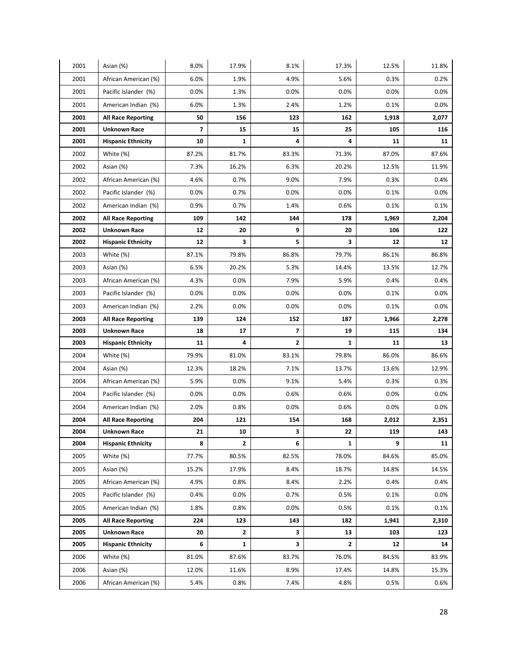| 2001         | Asian (%)                 | 8.0%           | 17.9%        | 8.1%  | 17.3%        | 12.5% | 11.8% |
|--------------|---------------------------|----------------|--------------|-------|--------------|-------|-------|
| 2001         | African American (%)      | 6.0%           | 1.9%         | 4.9%  | 5.6%         | 0.3%  | 0.2%  |
| 2001         | Pacific Islander (%)      | 0.0%           | 1.3%         | 0.0%  | 0.0%         | 0.0%  | 0.0%  |
| 2001         | American Indian (%)       | 6.0%           | 1.3%         | 2.4%  | 1.2%         | 0.1%  | 0.0%  |
| 2001         | <b>All Race Reporting</b> | 50             | 156          | 123   | 162          | 1,918 | 2,077 |
| 2001         | <b>Unknown Race</b>       | $\overline{7}$ | 15           | 15    | 25           | 105   | 116   |
| 2001         | <b>Hispanic Ethnicity</b> | 10             | $\mathbf{1}$ | 4     | 4            | 11    | 11    |
| 2002         | White (%)                 | 87.2%          | 81.7%        | 83.3% | 71.3%        | 87.0% | 87.6% |
| 2002         | Asian (%)                 | 7.3%           | 16.2%        | 6.3%  | 20.2%        | 12.5% | 11.9% |
| 2002         | African American (%)      | 4.6%           | 0.7%         | 9.0%  | 7.9%         | 0.3%  | 0.4%  |
| 2002         | Pacific Islander (%)      | 0.0%           | 0.7%         | 0.0%  | 0.0%         | 0.1%  | 0.0%  |
| 2002         | American Indian (%)       | 0.9%           | 0.7%         | 1.4%  | 0.6%         | 0.1%  | 0.1%  |
| 2002         | <b>All Race Reporting</b> | 109            | 142          | 144   | 178          | 1,969 | 2,204 |
| 2002         | <b>Unknown Race</b>       | 12             | 20           | 9     | 20           | 106   | 122   |
| 2002         | <b>Hispanic Ethnicity</b> | 12             | 3            | 5     | 3            | 12    | 12    |
| 2003         | White (%)                 | 87.1%          | 79.8%        | 86.8% | 79.7%        | 86.1% | 86.8% |
| 2003         | Asian (%)                 | 6.5%           | 20.2%        | 5.3%  | 14.4%        | 13.5% | 12.7% |
| 2003         | African American (%)      | 4.3%           | 0.0%         | 7.9%  | 5.9%         | 0.4%  | 0.4%  |
| 2003         | Pacific Islander (%)      | 0.0%           | 0.0%         | 0.0%  | 0.0%         | 0.1%  | 0.0%  |
| 2003         | American Indian (%)       | 2.2%           | 0.0%         | 0.0%  | 0.0%         | 0.1%  | 0.0%  |
| 2003         | <b>All Race Reporting</b> | 139            | 124          | 152   | 187          | 1,966 | 2,278 |
|              |                           |                |              |       |              |       |       |
| 2003         | <b>Unknown Race</b>       | 18             | 17           | 7     | 19           | 115   | 134   |
| 2003         | <b>Hispanic Ethnicity</b> | 11             | 4            | 2     | 1            | 11    | 13    |
| 2004         | White (%)                 | 79.9%          | 81.0%        | 83.1% | 79.8%        | 86.0% | 86.6% |
| 2004         | Asian (%)                 | 12.3%          | 18.2%        | 7.1%  | 13.7%        | 13.6% | 12.9% |
| 2004         | African American (%)      | 5.9%           | 0.0%         | 9.1%  | 5.4%         | 0.3%  | 0.3%  |
| 2004         | Pacific Islander (%)      | 0.0%           | 0.0%         | 0.6%  | 0.6%         | 0.0%  | 0.0%  |
| 2004         | American Indian (%)       | 2.0%           | 0.8%         | 0.0%  | 0.6%         | 0.0%  | 0.0%  |
| 2004         | <b>All Race Reporting</b> | 204            | 121          | 154   | 168          | 2,012 | 2,351 |
| 2004         | <b>Unknown Race</b>       | 21             | 10           | 3     | 22           | 119   | 143   |
| 2004         | <b>Hispanic Ethnicity</b> | 8              | $\mathbf{2}$ | 6     | $\mathbf{1}$ | 9     | 11    |
| 2005         | White (%)                 | 77.7%          | 80.5%        | 82.5% | 78.0%        | 84.6% | 85.0% |
| 2005         | Asian (%)                 | 15.2%          | 17.9%        | 8.4%  | 18.7%        | 14.8% | 14.5% |
| 2005         | African American (%)      | 4.9%           | 0.8%         | 8.4%  | 2.2%         | 0.4%  | 0.4%  |
| 2005         | Pacific Islander (%)      | 0.4%           | 0.0%         | 0.7%  | 0.5%         | 0.1%  | 0.0%  |
| 2005         | American Indian (%)       | 1.8%           | 0.8%         | 0.0%  | 0.5%         | 0.1%  | 0.1%  |
| 2005         | <b>All Race Reporting</b> | 224            | 123          | 143   | 182          | 1,941 | 2,310 |
| 2005         | <b>Unknown Race</b>       | 20             | $\mathbf{2}$ | 3     | 13           | 103   | 123   |
| 2005         | <b>Hispanic Ethnicity</b> | 6              | $\mathbf{1}$ | 3     | 2            | 12    | 14    |
| 2006         | White (%)                 | 81.0%          | 87.6%        | 83.7% | 76.0%        | 84.5% | 83.9% |
| 2006<br>2006 | Asian (%)                 | 12.0%          | 11.6%        | 8.9%  | 17.4%        | 14.8% | 15.3% |